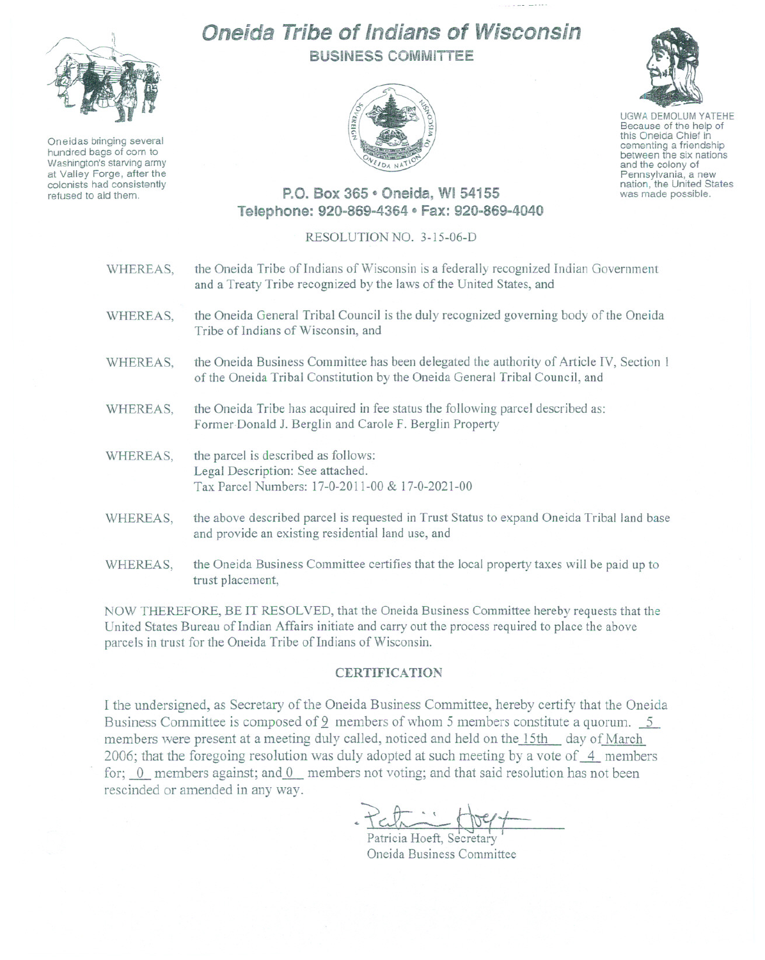

Oneidas bringing several hundred bags of corn to Washington's starving army at Valley Forge, after the colonists had consistently refused to aid them.

# Oneida Tribe of Indians of Wisconsin BUSiNESS COMMITTEE



UGWA DEMOLUM YATEHE Because of the help of this Oneida Chief in cementing <sup>a</sup> friendship between the six nations and the colony of

Pennsylvania, <sup>a</sup> new nation, the United States was made possible.

## P.O. Box 365 e Oneida, WI 54155 Telephone: 920-869-4364 · Fax: 920-869-4040

#### RESOLUTION NO. 3-15-06-D

| WHEREAS, | the Oneida Tribe of Indians of Wisconsin is a federally recognized Indian Government<br>and a Treaty Tribe recognized by the laws of the United States, and            |
|----------|------------------------------------------------------------------------------------------------------------------------------------------------------------------------|
| WHEREAS, | the Oneida General Tribal Council is the duly recognized governing body of the Oneida<br>Tribe of Indians of Wisconsin, and                                            |
| WHEREAS, | the Oneida Business Committee has been delegated the authority of Article IV, Section 1<br>of the Oneida Tribal Constitution by the Oneida General Tribal Council, and |
| WHEREAS, | the Oneida Tribe has acquired in fee status the following parcel described as:<br>Former Donald J. Berglin and Carole F. Berglin Property                              |
| WHEREAS, | the parcel is described as follows:<br>Legal Description: See attached.<br>Tax Parcel Numbers: 17-0-2011-00 & 17-0-2021-00                                             |
| WHEREAS, | the above described parcel is requested in Trust Status to expand Oneida Tribal land base<br>and provide an existing residential land use, and                         |
| WHEREAS, | the Oneida Business Committee certifies that the local property taxes will be paid up to<br>trust placement,                                                           |

NOW THEREFORE, BE IT RESOLVED, that the Oneida Business Committee hereby requests that the United States Bureau of Indian Affairs initiate and carry out the process required to place the above parcels in trust for the Oneida Tribe of Indians of Wisconsin.

#### **CERTIFICATION**

I the undersigned, as Secretary of the Oneida Business Committee, hereby certify that the Oneida Business Committee is composed of 9 members of whom 5 members constitute a quorum. 5 members were present at a meeting duly called, noticed and held on the 15th day of March 2006; that the foregoing resolution was duly adopted at such meeting by a vote of  $-4$  members for;  $\theta$  members against; and  $\theta$  members not voting; and that said resolution has not been rescinded or amended in any way.

Perfait de Compter

Oneida Business Committee